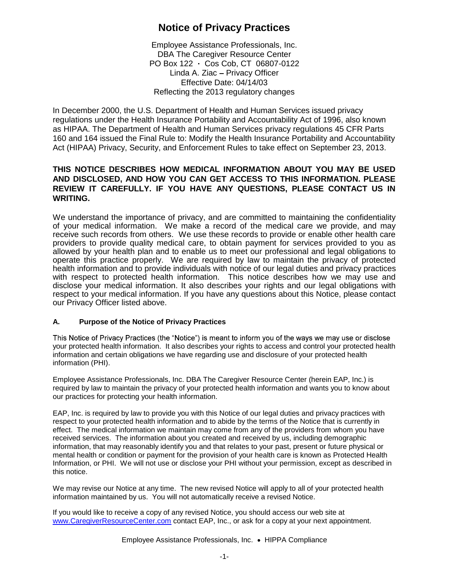# **Notice of Privacy Practices**

Employee Assistance Professionals, Inc. DBA The Caregiver Resource Center PO Box 122 Cos Cob, CT 06807-0122 Linda A. Ziac - Privacy Officer Effective Date: 04/14/03 Reflecting the 2013 regulatory changes

In December 2000, the U.S. Department of Health and Human Services issued privacy regulations under the Health Insurance Portability and Accountability Act of 1996, also known as HIPAA. The Department of Health and Human Services privacy regulations 45 CFR Parts 160 and 164 issued the Final Rule to: Modify the Health Insurance Portability and Accountability Act (HIPAA) Privacy, Security, and Enforcement Rules to take effect on September 23, 2013.

# **THIS NOTICE DESCRIBES HOW MEDICAL INFORMATION ABOUT YOU MAY BE USED AND DISCLOSED, AND HOW YOU CAN GET ACCESS TO THIS INFORMATION. PLEASE REVIEW IT CAREFULLY. IF YOU HAVE ANY QUESTIONS, PLEASE CONTACT US IN WRITING.**

We understand the importance of privacy, and are committed to maintaining the confidentiality of your medical information. We make a record of the medical care we provide, and may receive such records from others. We use these records to provide or enable other health care providers to provide quality medical care, to obtain payment for services provided to you as allowed by your health plan and to enable us to meet our professional and legal obligations to operate this practice properly. We are required by law to maintain the privacy of protected health information and to provide individuals with notice of our legal duties and privacy practices with respect to protected health information. This notice describes how we may use and disclose your medical information. It also describes your rights and our legal obligations with respect to your medical information. If you have any questions about this Notice, please contact our Privacy Officer listed above.

### **A. Purpose of the Notice of Privacy Practices**

This Notice of Privacy Practices (the "Notice") is meant to inform you of the ways we may use or disclose your protected health information. It also describes your rights to access and control your protected health information and certain obligations we have regarding use and disclosure of your protected health information (PHI).

Employee Assistance Professionals, Inc. DBA The Caregiver Resource Center (herein EAP, Inc.) is required by law to maintain the privacy of your protected health information and wants you to know about our practices for protecting your health information.

EAP, Inc. is required by law to provide you with this Notice of our legal duties and privacy practices with respect to your protected health information and to abide by the terms of the Notice that is currently in effect. The medical information we maintain may come from any of the providers from whom you have received services. The information about you created and received by us, including demographic information, that may reasonably identify you and that relates to your past, present or future physical or mental health or condition or payment for the provision of your health care is known as Protected Health Information, or PHI. We will not use or disclose your PHI without your permission, except as described in this notice.

We may revise our Notice at any time. The new revised Notice will apply to all of your protected health information maintained by us. You will not automatically receive a revised Notice.

If you would like to receive a copy of any revised Notice, you should access our web site at <www.CaregiverResourceCenter.com> contact EAP, Inc., or ask for a copy at your next appointment.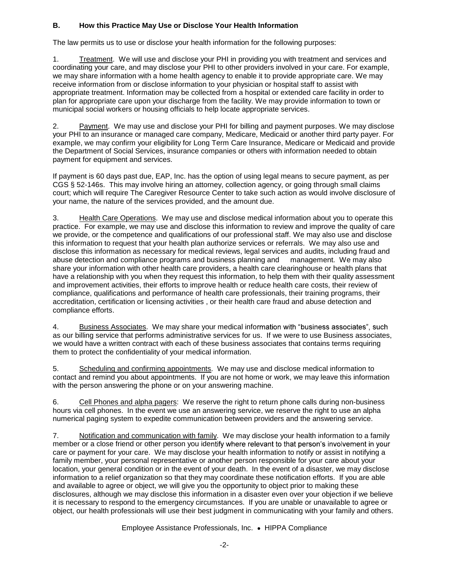# **B. How this Practice May Use or Disclose Your Health Information**

The law permits us to use or disclose your health information for the following purposes:

1. Treatment. We will use and disclose your PHI in providing you with treatment and services and coordinating your care, and may disclose your PHI to other providers involved in your care. For example, we may share information with a home health agency to enable it to provide appropriate care. We may receive information from or disclose information to your physician or hospital staff to assist with appropriate treatment. Information may be collected from a hospital or extended care facility in order to plan for appropriate care upon your discharge from the facility. We may provide information to town or municipal social workers or housing officials to help locate appropriate services.

2. Payment. We may use and disclose your PHI for billing and payment purposes. We may disclose your PHI to an insurance or managed care company, Medicare, Medicaid or another third party payer. For example, we may confirm your eligibility for Long Term Care Insurance, Medicare or Medicaid and provide the Department of Social Services, insurance companies or others with information needed to obtain payment for equipment and services.

If payment is 60 days past due, EAP, Inc. has the option of using legal means to secure payment, as per CGS § 52-146s. This may involve hiring an attorney, collection agency, or going through small claims court; which will require The Caregiver Resource Center to take such action as would involve disclosure of your name, the nature of the services provided, and the amount due.

3. Health Care Operations. We may use and disclose medical information about you to operate this practice. For example, we may use and disclose this information to review and improve the quality of care we provide, or the competence and qualifications of our professional staff. We may also use and disclose this information to request that your health plan authorize services or referrals. We may also use and disclose this information as necessary for medical reviews, legal services and audits, including fraud and abuse detection and compliance programs and business planning and management. We may also share your information with other health care providers, a health care clearinghouse or health plans that have a relationship with you when they request this information, to help them with their quality assessment and improvement activities, their efforts to improve health or reduce health care costs, their review of compliance, qualifications and performance of health care professionals, their training programs, their accreditation, certification or licensing activities , or their health care fraud and abuse detection and compliance efforts.

4. Business Associates. We may share your medical information with "business associates", such as our billing service that performs administrative services for us. If we were to use Business associates, we would have a written contract with each of these business associates that contains terms requiring them to protect the confidentiality of your medical information.

5. Scheduling and confirming appointments. We may use and disclose medical information to contact and remind you about appointments. If you are not home or work, we may leave this information with the person answering the phone or on your answering machine.

6. Cell Phones and alpha pagers: We reserve the right to return phone calls during non-business hours via cell phones. In the event we use an answering service, we reserve the right to use an alpha numerical paging system to expedite communication between providers and the answering service.

7. Notification and communication with family. We may disclose your health information to a family member or a close friend or other person you identify where relevant to that person's involvement in your care or payment for your care. We may disclose your health information to notify or assist in notifying a family member, your personal representative or another person responsible for your care about your location, your general condition or in the event of your death. In the event of a disaster, we may disclose information to a relief organization so that they may coordinate these notification efforts. If you are able and available to agree or object, we will give you the opportunity to object prior to making these disclosures, although we may disclose this information in a disaster even over your objection if we believe it is necessary to respond to the emergency circumstances. If you are unable or unavailable to agree or object, our health professionals will use their best judgment in communicating with your family and others.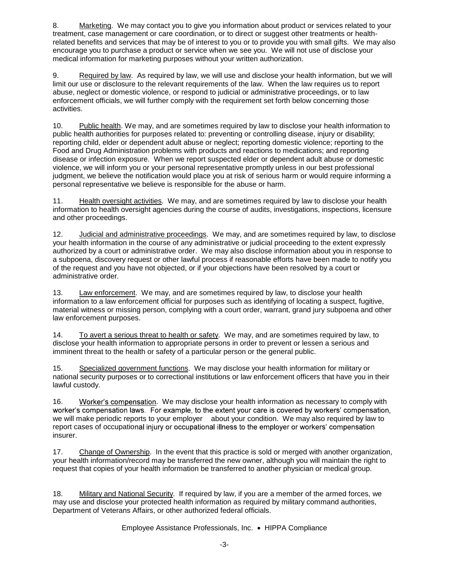8. Marketing. We may contact you to give you information about product or services related to your treatment, case management or care coordination, or to direct or suggest other treatments or healthrelated benefits and services that may be of interest to you or to provide you with small gifts. We may also encourage you to purchase a product or service when we see you. We will not use of disclose your medical information for marketing purposes without your written authorization.

9. Required by law. As required by law, we will use and disclose your health information, but we will limit our use or disclosure to the relevant requirements of the law. When the law requires us to report abuse, neglect or domestic violence, or respond to judicial or administrative proceedings, or to law enforcement officials, we will further comply with the requirement set forth below concerning those activities.

10. Public health. We may, and are sometimes required by law to disclose your health information to public health authorities for purposes related to: preventing or controlling disease, injury or disability; reporting child, elder or dependent adult abuse or neglect; reporting domestic violence; reporting to the Food and Drug Administration problems with products and reactions to medications; and reporting disease or infection exposure. When we report suspected elder or dependent adult abuse or domestic violence, we will inform you or your personal representative promptly unless in our best professional judgment, we believe the notification would place you at risk of serious harm or would require informing a personal representative we believe is responsible for the abuse or harm.

11. Health oversight activities. We may, and are sometimes required by law to disclose your health information to health oversight agencies during the course of audits, investigations, inspections, licensure and other proceedings.

12. Judicial and administrative proceedings. We may, and are sometimes required by law, to disclose your health information in the course of any administrative or judicial proceeding to the extent expressly authorized by a court or administrative order. We may also disclose information about you in response to a subpoena, discovery request or other lawful process if reasonable efforts have been made to notify you of the request and you have not objected, or if your objections have been resolved by a court or administrative order.

13. Law enforcement. We may, and are sometimes required by law, to disclose your health information to a law enforcement official for purposes such as identifying of locating a suspect, fugitive, material witness or missing person, complying with a court order, warrant, grand jury subpoena and other law enforcement purposes.

14. To avert a serious threat to health or safety. We may, and are sometimes required by law, to disclose your health information to appropriate persons in order to prevent or lessen a serious and imminent threat to the health or safety of a particular person or the general public.

15. Specialized government functions. We may disclose your health information for military or national security purposes or to correctional institutions or law enforcement officers that have you in their lawful custody.

16. Worker's compensation. We may disclose your health information as necessary to comply with worker's compensation laws. For example, to the extent your care is covered by workers' compensation, we will make periodic reports to your employer about your condition. We may also required by law to report cases of occupational injury or occupational illness to the employer or workers' compensation insurer.

17. Change of Ownership. In the event that this practice is sold or merged with another organization, your health information/record may be transferred the new owner, although you will maintain the right to request that copies of your health information be transferred to another physician or medical group.

18. Military and National Security. If required by law, if you are a member of the armed forces, we may use and disclose your protected health information as required by military command authorities, Department of Veterans Affairs, or other authorized federal officials.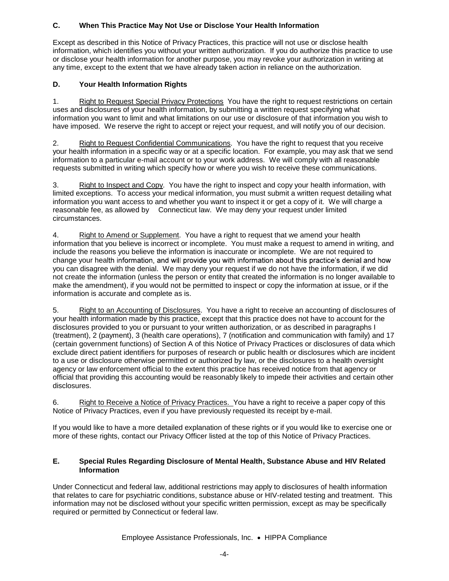# **C. When This Practice May Not Use or Disclose Your Health Information**

Except as described in this Notice of Privacy Practices, this practice will not use or disclose health information, which identifies you without your written authorization. If you do authorize this practice to use or disclose your health information for another purpose, you may revoke your authorization in writing at any time, except to the extent that we have already taken action in reliance on the authorization.

# **D. Your Health Information Rights**

1. Right to Request Special Privacy Protections You have the right to request restrictions on certain uses and disclosures of your health information, by submitting a written request specifying what information you want to limit and what limitations on our use or disclosure of that information you wish to have imposed. We reserve the right to accept or reject your request, and will notify you of our decision.

2. Right to Request Confidential Communications. You have the right to request that you receive your health information in a specific way or at a specific location. For example, you may ask that we send information to a particular e-mail account or to your work address. We will comply with all reasonable requests submitted in writing which specify how or where you wish to receive these communications.

3. Right to Inspect and Copy. You have the right to inspect and copy your health information, with limited exceptions. To access your medical information, you must submit a written request detailing what information you want access to and whether you want to inspect it or get a copy of it. We will charge a reasonable fee, as allowed by Connecticut law. We may deny your request under limited circumstances.

4. Right to Amend or Supplement. You have a right to request that we amend your health information that you believe is incorrect or incomplete. You must make a request to amend in writing, and include the reasons you believe the information is inaccurate or incomplete. We are not required to change your health information, and will provide you with information about this practice's denial and how you can disagree with the denial. We may deny your request if we do not have the information, if we did not create the information (unless the person or entity that created the information is no longer available to make the amendment), if you would not be permitted to inspect or copy the information at issue, or if the information is accurate and complete as is.

5. Right to an Accounting of Disclosures. You have a right to receive an accounting of disclosures of your health information made by this practice, except that this practice does not have to account for the disclosures provided to you or pursuant to your written authorization, or as described in paragraphs I (treatment), 2 (payment), 3 (health care operations), 7 (notification and communication with family) and 17 (certain government functions) of Section A of this Notice of Privacy Practices or disclosures of data which exclude direct patient identifiers for purposes of research or public health or disclosures which are incident to a use or disclosure otherwise permitted or authorized by law, or the disclosures to a health oversight agency or law enforcement official to the extent this practice has received notice from that agency or official that providing this accounting would be reasonably likely to impede their activities and certain other disclosures.

6. Right to Receive a Notice of Privacy Practices. You have a right to receive a paper copy of this Notice of Privacy Practices, even if you have previously requested its receipt by e-mail.

If you would like to have a more detailed explanation of these rights or if you would like to exercise one or more of these rights, contact our Privacy Officer listed at the top of this Notice of Privacy Practices.

#### **E. Special Rules Regarding Disclosure of Mental Health, Substance Abuse and HIV Related Information**

Under Connecticut and federal law, additional restrictions may apply to disclosures of health information that relates to care for psychiatric conditions, substance abuse or HIV-related testing and treatment. This information may not be disclosed without your specific written permission, except as may be specifically required or permitted by Connecticut or federal law.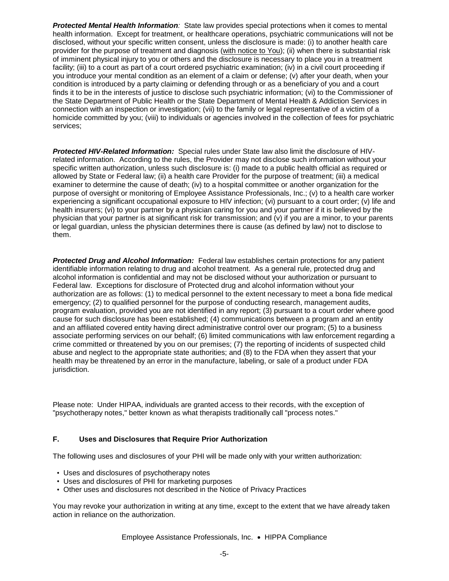*Protected Mental Health Information:* State law provides special protections when it comes to mental health information. Except for treatment, or healthcare operations, psychiatric communications will not be disclosed, without your specific written consent, unless the disclosure is made: (i) to another health care provider for the purpose of treatment and diagnosis (with notice to You); (ii) when there is substantial risk of imminent physical injury to you or others and the disclosure is necessary to place you in a treatment facility; (iii) to a court as part of a court ordered psychiatric examination; (iv) in a civil court proceeding if you introduce your mental condition as an element of a claim or defense; (v) after your death, when your condition is introduced by a party claiming or defending through or as a beneficiary of you and a court finds it to be in the interests of justice to disclose such psychiatric information; (vi) to the Commissioner of the State Department of Public Health or the State Department of Mental Health & Addiction Services in connection with an inspection or investigation; (vii) to the family or legal representative of a victim of a homicide committed by you; (viii) to individuals or agencies involved in the collection of fees for psychiatric services;

*Protected HIV-Related Information:* Special rules under State law also limit the disclosure of HIVrelated information. According to the rules, the Provider may not disclose such information without your specific written authorization, unless such disclosure is: (i) made to a public health official as required or allowed by State or Federal law; (ii) a health care Provider for the purpose of treatment; (iii) a medical examiner to determine the cause of death; (iv) to a hospital committee or another organization for the purpose of oversight or monitoring of Employee Assistance Professionals, Inc.; (v) to a health care worker experiencing a significant occupational exposure to HIV infection; (vi) pursuant to a court order; (v) life and health insurers; (vi) to your partner by a physician caring for you and your partner if it is believed by the physician that your partner is at significant risk for transmission; and (v) if you are a minor, to your parents or legal guardian, unless the physician determines there is cause (as defined by law) not to disclose to them.

*Protected Drug and Alcohol Information:* Federal law establishes certain protections for any patient identifiable information relating to drug and alcohol treatment. As a general rule, protected drug and alcohol information is confidential and may not be disclosed without your authorization or pursuant to Federal law. Exceptions for disclosure of Protected drug and alcohol information without your authorization are as follows: (1) to medical personnel to the extent necessary to meet a bona fide medical emergency; (2) to qualified personnel for the purpose of conducting research, management audits, program evaluation, provided you are not identified in any report; (3) pursuant to a court order where good cause for such disclosure has been established; (4) communications between a program and an entity and an affiliated covered entity having direct administrative control over our program; (5) to a business associate performing services on our behalf; (6) limited communications with law enforcement regarding a crime committed or threatened by you on our premises; (7) the reporting of incidents of suspected child abuse and neglect to the appropriate state authorities; and (8) to the FDA when they assert that your health may be threatened by an error in the manufacture, labeling, or sale of a product under FDA jurisdiction.

Please note: Under HIPAA, individuals are granted access to their records, with the exception of "psychotherapy notes," better known as what therapists traditionally call "process notes."

#### **F. Uses and Disclosures that Require Prior Authorization**

The following uses and disclosures of your PHI will be made only with your written authorization:

- Uses and disclosures of psychotherapy notes
- Uses and disclosures of PHI for marketing purposes
- Other uses and disclosures not described in the Notice of Privacy Practices

You may revoke your authorization in writing at any time, except to the extent that we have already taken action in reliance on the authorization.